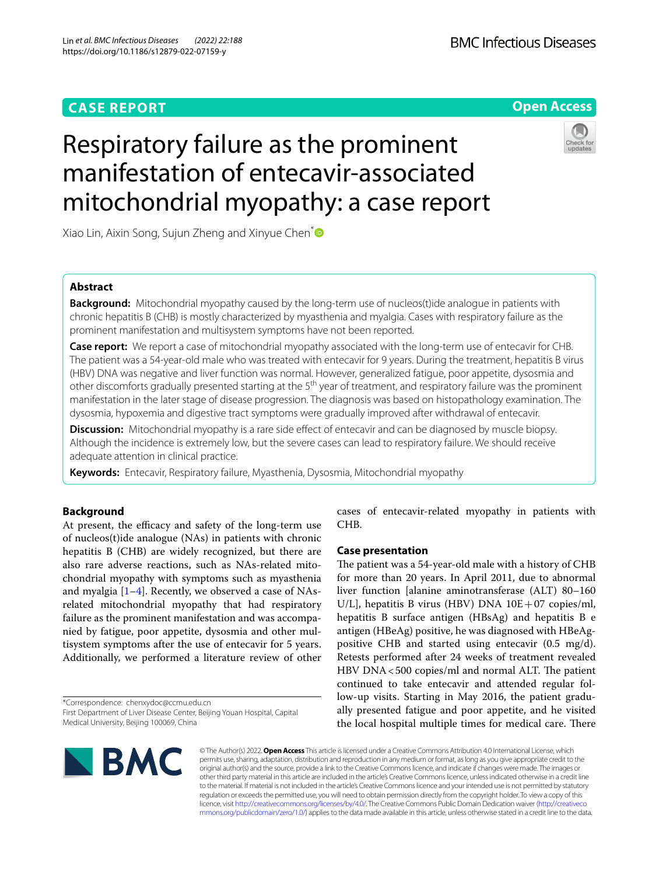# **CASE REPORT**



# Respiratory failure as the prominent manifestation of entecavir-associated mitochondrial myopathy: a case report



Xiao Lin, Aixin Song, Sujun Zheng and Xinyue Chen<sup>[\\*](http://orcid.org/0000-0001-9569-4540)</sup>

# **Abstract**

**Background:** Mitochondrial myopathy caused by the long-term use of nucleos(t)ide analogue in patients with chronic hepatitis B (CHB) is mostly characterized by myasthenia and myalgia. Cases with respiratory failure as the prominent manifestation and multisystem symptoms have not been reported.

**Case report:** We report a case of mitochondrial myopathy associated with the long-term use of entecavir for CHB. The patient was a 54-year-old male who was treated with entecavir for 9 years. During the treatment, hepatitis B virus (HBV) DNA was negative and liver function was normal. However, generalized fatigue, poor appetite, dysosmia and other discomforts gradually presented starting at the 5<sup>th</sup> year of treatment, and respiratory failure was the prominent manifestation in the later stage of disease progression. The diagnosis was based on histopathology examination. The dysosmia, hypoxemia and digestive tract symptoms were gradually improved after withdrawal of entecavir.

**Discussion:** Mitochondrial myopathy is a rare side effect of entecavir and can be diagnosed by muscle biopsy. Although the incidence is extremely low, but the severe cases can lead to respiratory failure. We should receive adequate attention in clinical practice.

**Keywords:** Entecavir, Respiratory failure, Myasthenia, Dysosmia, Mitochondrial myopathy

## **Background**

At present, the efficacy and safety of the long-term use of nucleos(t)ide analogue (NAs) in patients with chronic hepatitis B (CHB) are widely recognized, but there are also rare adverse reactions, such as NAs-related mitochondrial myopathy with symptoms such as myasthenia and myalgia  $[1-4]$  $[1-4]$ . Recently, we observed a case of NAsrelated mitochondrial myopathy that had respiratory failure as the prominent manifestation and was accompanied by fatigue, poor appetite, dysosmia and other multisystem symptoms after the use of entecavir for 5 years. Additionally, we performed a literature review of other

\*Correspondence: chenxydoc@ccmu.edu.cn First Department of Liver Disease Center, Beijing Youan Hospital, Capital Medical University, Beijing 100069, China

cases of entecavir-related myopathy in patients with CHB.

### **Case presentation**

The patient was a 54-year-old male with a history of CHB for more than 20 years. In April 2011, due to abnormal liver function [alanine aminotransferase (ALT) 80–160 U/L], hepatitis B virus (HBV) DNA  $10E+07$  copies/ml, hepatitis B surface antigen (HBsAg) and hepatitis B e antigen (HBeAg) positive, he was diagnosed with HBeAgpositive CHB and started using entecavir (0.5 mg/d). Retests performed after 24 weeks of treatment revealed  $HBV$  DNA  $<500$  copies/ml and normal ALT. The patient continued to take entecavir and attended regular follow-up visits. Starting in May 2016, the patient gradually presented fatigue and poor appetite, and he visited the local hospital multiple times for medical care. There



© The Author(s) 2022. **Open Access** This article is licensed under a Creative Commons Attribution 4.0 International License, which permits use, sharing, adaptation, distribution and reproduction in any medium or format, as long as you give appropriate credit to the original author(s) and the source, provide a link to the Creative Commons licence, and indicate if changes were made. The images or other third party material in this article are included in the article's Creative Commons licence, unless indicated otherwise in a credit line to the material. If material is not included in the article's Creative Commons licence and your intended use is not permitted by statutory regulation or exceeds the permitted use, you will need to obtain permission directly from the copyright holder. To view a copy of this licence, visit [http://creativecommons.org/licenses/by/4.0/.](http://creativecommons.org/licenses/by/4.0/) The Creative Commons Public Domain Dedication waiver ([http://creativeco](http://creativecommons.org/publicdomain/zero/1.0/) [mmons.org/publicdomain/zero/1.0/](http://creativecommons.org/publicdomain/zero/1.0/)) applies to the data made available in this article, unless otherwise stated in a credit line to the data.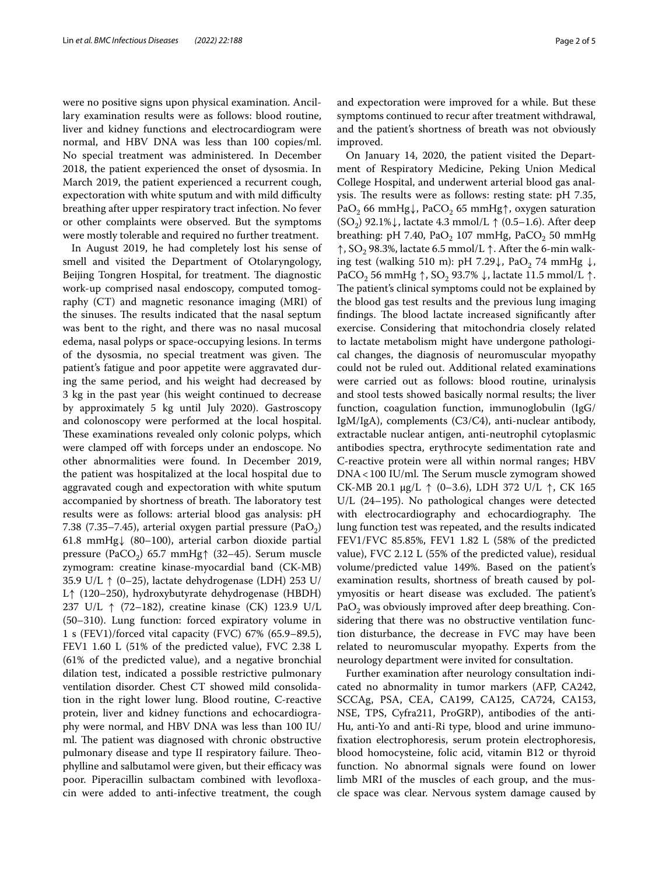were no positive signs upon physical examination. Ancillary examination results were as follows: blood routine, liver and kidney functions and electrocardiogram were normal, and HBV DNA was less than 100 copies/ml. No special treatment was administered. In December 2018, the patient experienced the onset of dysosmia. In March 2019, the patient experienced a recurrent cough, expectoration with white sputum and with mild difficulty breathing after upper respiratory tract infection. No fever or other complaints were observed. But the symptoms were mostly tolerable and required no further treatment.

In August 2019, he had completely lost his sense of smell and visited the Department of Otolaryngology, Beijing Tongren Hospital, for treatment. The diagnostic work-up comprised nasal endoscopy, computed tomography (CT) and magnetic resonance imaging (MRI) of the sinuses. The results indicated that the nasal septum was bent to the right, and there was no nasal mucosal edema, nasal polyps or space-occupying lesions. In terms of the dysosmia, no special treatment was given. The patient's fatigue and poor appetite were aggravated during the same period, and his weight had decreased by 3 kg in the past year (his weight continued to decrease by approximately 5 kg until July 2020). Gastroscopy and colonoscopy were performed at the local hospital. These examinations revealed only colonic polyps, which were clamped off with forceps under an endoscope. No other abnormalities were found. In December 2019, the patient was hospitalized at the local hospital due to aggravated cough and expectoration with white sputum accompanied by shortness of breath. The laboratory test results were as follows: arterial blood gas analysis: pH 7.38 (7.35–7.45), arterial oxygen partial pressure (PaO<sub>2</sub>) 61.8 mmHg↓ (80–100), arterial carbon dioxide partial pressure (PaCO<sub>2</sub>) 65.7 mmHg $\uparrow$  (32–45). Serum muscle zymogram: creatine kinase-myocardial band (CK-MB) 35.9 U/L ↑ (0–25), lactate dehydrogenase (LDH) 253 U/ L↑ (120–250), hydroxybutyrate dehydrogenase (HBDH) 237 U/L ↑ (72–182), creatine kinase (CK) 123.9 U/L (50–310). Lung function: forced expiratory volume in 1 s (FEV1)/forced vital capacity (FVC) 67% (65.9–89.5), FEV1 1.60 L (51% of the predicted value), FVC 2.38 L (61% of the predicted value), and a negative bronchial dilation test, indicated a possible restrictive pulmonary ventilation disorder. Chest CT showed mild consolidation in the right lower lung. Blood routine, C-reactive protein, liver and kidney functions and echocardiography were normal, and HBV DNA was less than 100 IU/ ml. The patient was diagnosed with chronic obstructive pulmonary disease and type II respiratory failure. Theophylline and salbutamol were given, but their efficacy was poor. Piperacillin sulbactam combined with levofoxacin were added to anti-infective treatment, the cough and expectoration were improved for a while. But these symptoms continued to recur after treatment withdrawal, and the patient's shortness of breath was not obviously improved.

On January 14, 2020, the patient visited the Department of Respiratory Medicine, Peking Union Medical College Hospital, and underwent arterial blood gas analysis. The results were as follows: resting state: pH 7.35, PaO<sub>2</sub> 66 mmHg↓, PaCO<sub>2</sub> 65 mmHg↑, oxygen saturation  $(SO<sub>2</sub>)$  92.1% $\downarrow$ , lactate 4.3 mmol/L  $\uparrow$  (0.5–1.6). After deep breathing: pH 7.40,  $PaO<sub>2</sub>$  107 mmHg,  $PaCO<sub>2</sub>$  50 mmHg  $\uparrow$ , SO<sub>2</sub> 98.3%, lactate 6.5 mmol/L  $\uparrow$ . After the 6-min walking test (walking 510 m): pH 7.29 $\downarrow$ , PaO<sub>2</sub> 74 mmHg  $\downarrow$ , PaCO<sub>2</sub> 56 mmHg  $\uparrow$ , SO<sub>2</sub> 93.7%  $\downarrow$ , lactate 11.5 mmol/L  $\uparrow$ . The patient's clinical symptoms could not be explained by the blood gas test results and the previous lung imaging findings. The blood lactate increased significantly after exercise. Considering that mitochondria closely related to lactate metabolism might have undergone pathological changes, the diagnosis of neuromuscular myopathy could not be ruled out. Additional related examinations were carried out as follows: blood routine, urinalysis and stool tests showed basically normal results; the liver function, coagulation function, immunoglobulin (IgG/ IgM/IgA), complements (C3/C4), anti-nuclear antibody, extractable nuclear antigen, anti-neutrophil cytoplasmic antibodies spectra, erythrocyte sedimentation rate and C-reactive protein were all within normal ranges; HBV DNA<100 IU/ml. The Serum muscle zymogram showed CK-MB 20.1 μg/L ↑ (0–3.6), LDH 372 U/L ↑, CK 165 U/L (24–195). No pathological changes were detected with electrocardiography and echocardiography. The lung function test was repeated, and the results indicated FEV1/FVC 85.85%, FEV1 1.82 L (58% of the predicted value), FVC 2.12 L (55% of the predicted value), residual volume/predicted value 149%. Based on the patient's examination results, shortness of breath caused by polymyositis or heart disease was excluded. The patient's  $PaO<sub>2</sub>$  was obviously improved after deep breathing. Considering that there was no obstructive ventilation function disturbance, the decrease in FVC may have been related to neuromuscular myopathy. Experts from the neurology department were invited for consultation.

Further examination after neurology consultation indicated no abnormality in tumor markers (AFP, CA242, SCCAg, PSA, CEA, CA199, CA125, CA724, CA153, NSE, TPS, Cyfra211, ProGRP), antibodies of the anti-Hu, anti-Yo and anti-Ri type, blood and urine immunofxation electrophoresis, serum protein electrophoresis, blood homocysteine, folic acid, vitamin B12 or thyroid function. No abnormal signals were found on lower limb MRI of the muscles of each group, and the muscle space was clear. Nervous system damage caused by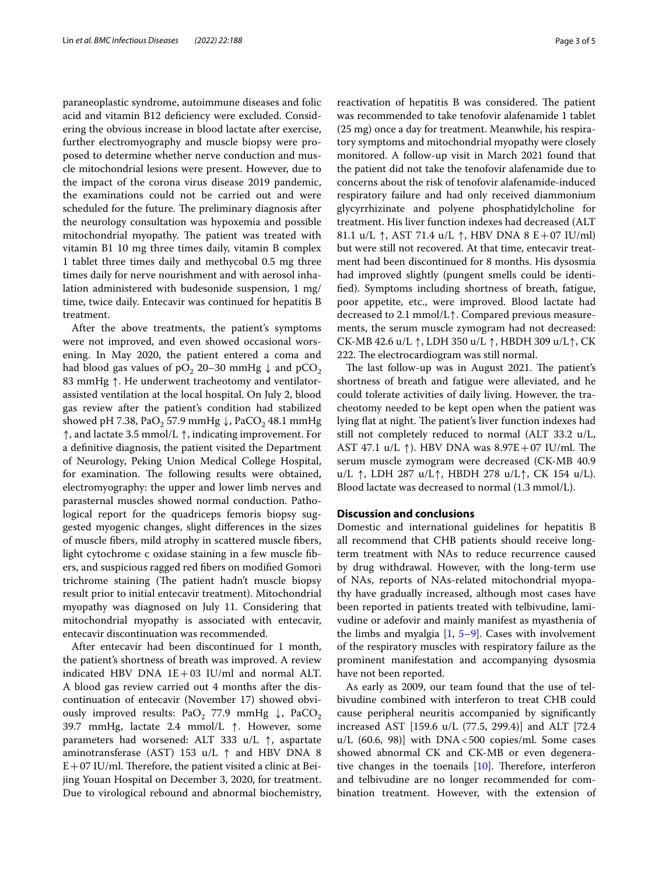paraneoplastic syndrome, autoimmune diseases and folic acid and vitamin B12 defciency were excluded. Considering the obvious increase in blood lactate after exercise, further electromyography and muscle biopsy were proposed to determine whether nerve conduction and muscle mitochondrial lesions were present. However, due to the impact of the corona virus disease 2019 pandemic, the examinations could not be carried out and were scheduled for the future. The preliminary diagnosis after the neurology consultation was hypoxemia and possible mitochondrial myopathy. The patient was treated with vitamin B1 10 mg three times daily, vitamin B complex 1 tablet three times daily and methycobal 0.5 mg three times daily for nerve nourishment and with aerosol inhalation administered with budesonide suspension, 1 mg/ time, twice daily. Entecavir was continued for hepatitis B treatment.

After the above treatments, the patient's symptoms were not improved, and even showed occasional worsening. In May 2020, the patient entered a coma and had blood gas values of  $pO_2$  20–30 mmHg  $\downarrow$  and  $pCO_2$ 83 mmHg ↑. He underwent tracheotomy and ventilatorassisted ventilation at the local hospital. On July 2, blood gas review after the patient's condition had stabilized showed pH 7.38, PaO<sub>2</sub> 57.9 mmHg  $\downarrow$ , PaCO<sub>2</sub> 48.1 mmHg ↑, and lactate 3.5 mmol/L ↑, indicating improvement. For a defnitive diagnosis, the patient visited the Department of Neurology, Peking Union Medical College Hospital, for examination. The following results were obtained, electromyography: the upper and lower limb nerves and parasternal muscles showed normal conduction. Pathological report for the quadriceps femoris biopsy suggested myogenic changes, slight diferences in the sizes of muscle fbers, mild atrophy in scattered muscle fbers, light cytochrome c oxidase staining in a few muscle fbers, and suspicious ragged red fbers on modifed Gomori trichrome staining (The patient hadn't muscle biopsy result prior to initial entecavir treatment). Mitochondrial myopathy was diagnosed on July 11. Considering that mitochondrial myopathy is associated with entecavir, entecavir discontinuation was recommended.

After entecavir had been discontinued for 1 month, the patient's shortness of breath was improved. A review indicated HBV DNA  $1E+03$  IU/ml and normal ALT. A blood gas review carried out 4 months after the discontinuation of entecavir (November 17) showed obviously improved results: PaO<sub>2</sub> 77.9 mmHg  $\downarrow$ , PaCO<sub>2</sub> 39.7 mmHg, lactate 2.4 mmol/L ↑. However, some parameters had worsened: ALT 333 u/L ↑, aspartate aminotransferase (AST) 153 u/L  $\uparrow$  and HBV DNA 8  $E+07$  IU/ml. Therefore, the patient visited a clinic at Beijing Youan Hospital on December 3, 2020, for treatment. Due to virological rebound and abnormal biochemistry, reactivation of hepatitis B was considered. The patient was recommended to take tenofovir alafenamide 1 tablet (25 mg) once a day for treatment. Meanwhile, his respiratory symptoms and mitochondrial myopathy were closely monitored. A follow-up visit in March 2021 found that the patient did not take the tenofovir alafenamide due to concerns about the risk of tenofovir alafenamide-induced respiratory failure and had only received diammonium glycyrrhizinate and polyene phosphatidylcholine for treatment. His liver function indexes had decreased (ALT 81.1 u/L ↑, AST 71.4 u/L ↑, HBV DNA 8 E + 07 IU/ml) but were still not recovered. At that time, entecavir treatment had been discontinued for 8 months. His dysosmia had improved slightly (pungent smells could be identifed). Symptoms including shortness of breath, fatigue, poor appetite, etc., were improved. Blood lactate had decreased to 2.1 mmol/L↑. Compared previous measurements, the serum muscle zymogram had not decreased: CK-MB 42.6 u/L ↑, LDH 350 u/L ↑, HBDH 309 u/L↑, CK 222. The electrocardiogram was still normal.

The last follow-up was in August 2021. The patient's shortness of breath and fatigue were alleviated, and he could tolerate activities of daily living. However, the tracheotomy needed to be kept open when the patient was lying flat at night. The patient's liver function indexes had still not completely reduced to normal (ALT 33.2 u/L, AST 47.1 u/L  $\uparrow$ ). HBV DNA was 8.97E + 07 IU/ml. The serum muscle zymogram were decreased (CK-MB 40.9 u/L ↑, LDH 287 u/L↑, HBDH 278 u/L↑, CK 154 u/L). Blood lactate was decreased to normal (1.3 mmol/L).

## **Discussion and conclusions**

Domestic and international guidelines for hepatitis B all recommend that CHB patients should receive longterm treatment with NAs to reduce recurrence caused by drug withdrawal. However, with the long-term use of NAs, reports of NAs-related mitochondrial myopathy have gradually increased, although most cases have been reported in patients treated with telbivudine, lamivudine or adefovir and mainly manifest as myasthenia of the limbs and myalgia [\[1,](#page-4-0) [5–](#page-4-2)[9](#page-4-3)]. Cases with involvement of the respiratory muscles with respiratory failure as the prominent manifestation and accompanying dysosmia have not been reported.

As early as 2009, our team found that the use of telbivudine combined with interferon to treat CHB could cause peripheral neuritis accompanied by signifcantly increased AST [159.6 u/L (77.5, 299.4)] and ALT [72.4  $u/L$  (60.6, 98)] with DNA < 500 copies/ml. Some cases showed abnormal CK and CK-MB or even degenerative changes in the toenails  $[10]$  $[10]$ . Therefore, interferon and telbivudine are no longer recommended for combination treatment. However, with the extension of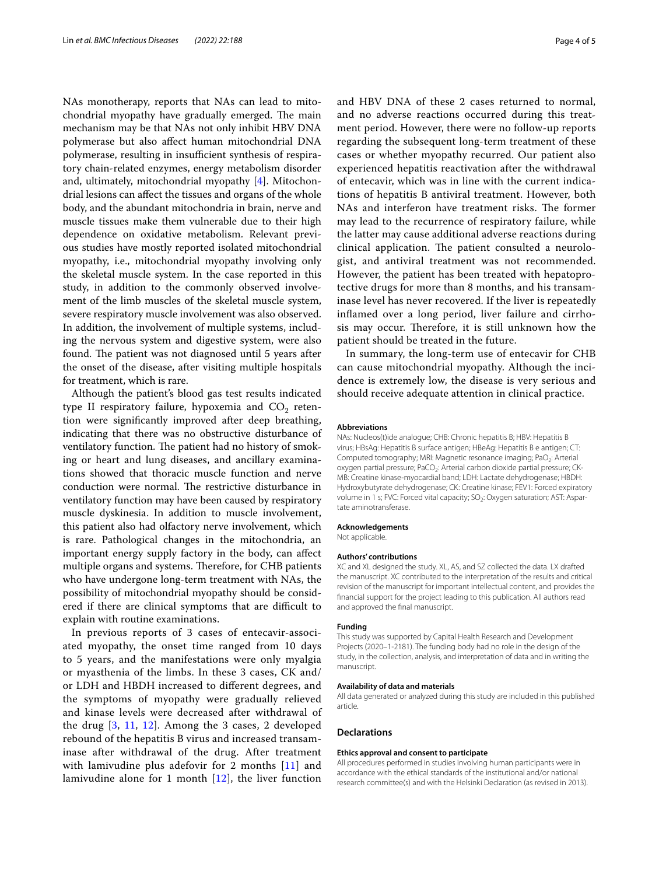NAs monotherapy, reports that NAs can lead to mitochondrial myopathy have gradually emerged. The main mechanism may be that NAs not only inhibit HBV DNA polymerase but also afect human mitochondrial DNA polymerase, resulting in insufficient synthesis of respiratory chain-related enzymes, energy metabolism disorder and, ultimately, mitochondrial myopathy [[4](#page-4-1)]. Mitochondrial lesions can afect the tissues and organs of the whole body, and the abundant mitochondria in brain, nerve and muscle tissues make them vulnerable due to their high dependence on oxidative metabolism. Relevant previous studies have mostly reported isolated mitochondrial myopathy, i.e., mitochondrial myopathy involving only the skeletal muscle system. In the case reported in this study, in addition to the commonly observed involvement of the limb muscles of the skeletal muscle system, severe respiratory muscle involvement was also observed. In addition, the involvement of multiple systems, including the nervous system and digestive system, were also found. The patient was not diagnosed until 5 years after the onset of the disease, after visiting multiple hospitals for treatment, which is rare.

Although the patient's blood gas test results indicated type II respiratory failure, hypoxemia and  $CO<sub>2</sub>$  retention were signifcantly improved after deep breathing, indicating that there was no obstructive disturbance of ventilatory function. The patient had no history of smoking or heart and lung diseases, and ancillary examinations showed that thoracic muscle function and nerve conduction were normal. The restrictive disturbance in ventilatory function may have been caused by respiratory muscle dyskinesia. In addition to muscle involvement, this patient also had olfactory nerve involvement, which is rare. Pathological changes in the mitochondria, an important energy supply factory in the body, can afect multiple organs and systems. Therefore, for CHB patients who have undergone long-term treatment with NAs, the possibility of mitochondrial myopathy should be considered if there are clinical symptoms that are difficult to explain with routine examinations.

In previous reports of 3 cases of entecavir-associated myopathy, the onset time ranged from 10 days to 5 years, and the manifestations were only myalgia or myasthenia of the limbs. In these 3 cases, CK and/ or LDH and HBDH increased to diferent degrees, and the symptoms of myopathy were gradually relieved and kinase levels were decreased after withdrawal of the drug [[3](#page-4-5), [11,](#page-4-6) [12\]](#page-4-7). Among the 3 cases, 2 developed rebound of the hepatitis B virus and increased transaminase after withdrawal of the drug. After treatment with lamivudine plus adefovir for 2 months [\[11](#page-4-6)] and lamivudine alone for 1 month  $[12]$  $[12]$  $[12]$ , the liver function and HBV DNA of these 2 cases returned to normal, and no adverse reactions occurred during this treatment period. However, there were no follow-up reports regarding the subsequent long-term treatment of these cases or whether myopathy recurred. Our patient also experienced hepatitis reactivation after the withdrawal of entecavir, which was in line with the current indications of hepatitis B antiviral treatment. However, both NAs and interferon have treatment risks. The former may lead to the recurrence of respiratory failure, while the latter may cause additional adverse reactions during clinical application. The patient consulted a neurologist, and antiviral treatment was not recommended. However, the patient has been treated with hepatoprotective drugs for more than 8 months, and his transaminase level has never recovered. If the liver is repeatedly infamed over a long period, liver failure and cirrhosis may occur. Therefore, it is still unknown how the patient should be treated in the future.

In summary, the long-term use of entecavir for CHB can cause mitochondrial myopathy. Although the incidence is extremely low, the disease is very serious and should receive adequate attention in clinical practice.

#### **Abbreviations**

NAs: Nucleos(t)ide analogue; CHB: Chronic hepatitis B; HBV: Hepatitis B virus; HBsAg: Hepatitis B surface antigen; HBeAg: Hepatitis B e antigen; CT: Computed tomography; MRI: Magnetic resonance imaging; PaO<sub>2</sub>: Arterial oxygen partial pressure; PaCO<sub>2</sub>: Arterial carbon dioxide partial pressure; CK-MB: Creatine kinase-myocardial band; LDH: Lactate dehydrogenase; HBDH: Hydroxybutyrate dehydrogenase; CK: Creatine kinase; FEV1: Forced expiratory volume in 1 s; FVC: Forced vital capacity; SO<sub>2</sub>: Oxygen saturation; AST: Aspartate aminotransferase.

#### **Acknowledgements**

Not applicable.

#### **Authors' contributions**

XC and XL designed the study. XL, AS, and SZ collected the data. LX drafted the manuscript. XC contributed to the interpretation of the results and critical revision of the manuscript for important intellectual content, and provides the fnancial support for the project leading to this publication. All authors read and approved the fnal manuscript.

#### **Funding**

This study was supported by Capital Health Research and Development Projects (2020–1-2181). The funding body had no role in the design of the study, in the collection, analysis, and interpretation of data and in writing the manuscript.

#### **Availability of data and materials**

All data generated or analyzed during this study are included in this published article.

#### **Declarations**

#### **Ethics approval and consent to participate**

All procedures performed in studies involving human participants were in accordance with the ethical standards of the institutional and/or national research committee(s) and with the Helsinki Declaration (as revised in 2013).